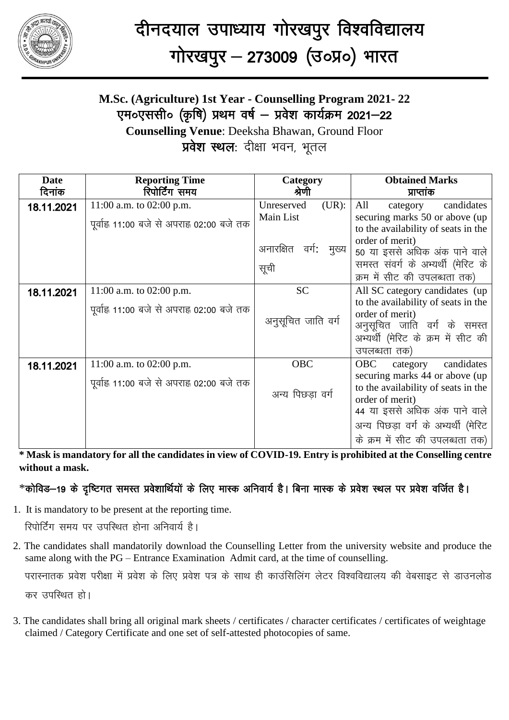

## **M.Sc. (Agriculture) 1st Year - Counselling Program 2021- 22** एम०एससी० (कृषि) प्रथम वर्ष – प्रवेश कार्यक्रम 2021–22

**Counselling Venue**: Deeksha Bhawan, Ground Floor प्रवेश स्थल: दीक्षा भवन, भूतल

| <b>Date</b> | <b>Reporting Time</b>                                                   | Category                            | <b>Obtained Marks</b>                                                                                                                                                                                                                       |
|-------------|-------------------------------------------------------------------------|-------------------------------------|---------------------------------------------------------------------------------------------------------------------------------------------------------------------------------------------------------------------------------------------|
| दिनांक      | रिपोर्टिंग समय                                                          | श्रेणी                              | प्राप्तांक                                                                                                                                                                                                                                  |
| 18.11.2021  | 11:00 a.m. to 02:00 p.m.<br>पूर्वाह्न 11:00 बजे से अपराह्न 02:00 बजे तक | Unreserved<br>$(UR)$ :<br>Main List | All<br>candidates<br>category<br>securing marks 50 or above (up<br>to the availability of seats in the                                                                                                                                      |
|             |                                                                         | अनारक्षित<br>मुख्य<br>वर्गः<br>सूची | order of merit)<br>50 या इससे अधिक अंक पाने वाले<br>समस्त संवर्ग के अभ्यर्थी (मेरिट के<br>क्रम में सीट की उपलब्धता तक)                                                                                                                      |
| 18.11.2021  | 11:00 a.m. to 02:00 p.m.<br>पूर्वाह्न 11:00 बजे से अपराह्न 02:00 बजे तक | <b>SC</b><br>अनुसूचित जाति वर्ग     | All SC category candidates (up)<br>to the availability of seats in the<br>order of merit)<br>अनुसूचित जाति वर्ग के समस्त<br>अभ्यर्थी (मेरिट के क्रम में सीट की<br>उपलब्धता तक)                                                              |
| 18.11.2021  | 11:00 a.m. to 02:00 p.m.<br>पूर्वाह्न 11:00 बजे से अपराह्न 02:00 बजे तक | OBC<br>अन्य पिछडा वर्ग              | candidates<br><b>OBC</b><br>category<br>securing marks 44 or above (up<br>to the availability of seats in the<br>order of merit)<br>44 या इससे अधिक अंक पाने वाले<br>अन्य पिछड़ा वर्ग के अभ्यर्थी (मेरिट<br>के क्रम में सीट की उपलब्धता तक) |

**\* Mask is mandatory for all the candidates in view of COVID-19. Entry is prohibited at the Conselling centre without a mask.**

## $*$ कोविड–19 के दृष्टिगत समस्त प्रवेशार्थियों के लिए मास्क अनिवार्य है। बिना मास्क के प्रवेश स्थल पर प्रवेश वर्जित है।

1. It is mandatory to be present at the reporting time.

रिपोर्टिंग समय पर उपस्थित होना अनिवार्य है।

2. The candidates shall mandatorily download the Counselling Letter from the university website and produce the same along with the PG – Entrance Examination Admit card, at the time of counselling.

परास्नातक प्रवेश परीक्षा में प्रवेश के लिए प्रवेश पत्र के साथ ही काउंसिलिंग लेटर विश्वविद्यालय की वेबसाइट से डाउनलोड कर उपस्थित हो।

3. The candidates shall bring all original mark sheets / certificates / character certificates / certificates of weightage claimed / Category Certificate and one set of self-attested photocopies of same.